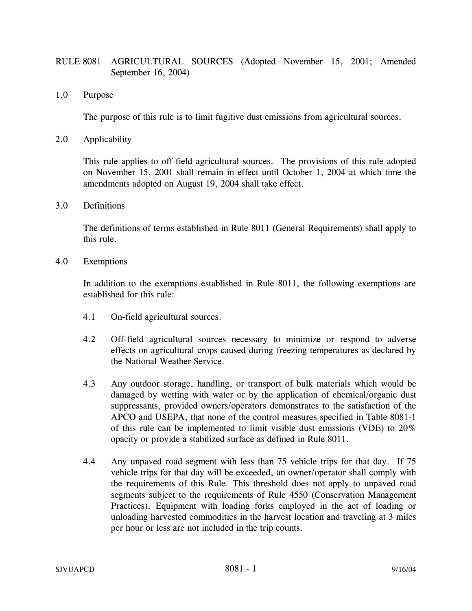## RULE 8081 AGRICULTURAL SOURCES (Adopted November 15, 2001; Amended September 16, 2004)

1.0 Purpose

The purpose of this rule is to limit fugitive dust emissions from agricultural sources.

2.0 Applicability

This rule applies to off-field agricultural sources. The provisions of this rule adopted on November 15, 2001 shall remain in effect until October 1, 2004 at which time the amendments adopted on August 19, 2004 shall take effect.

3.0 Definitions

The definitions of terms established in Rule 8011 (General Requirements) shall apply to this rule.

4.0 Exemptions

In addition to the exemptions established in Rule 8011, the following exemptions are established for this rule:

- 4.1 On-field agricultural sources.
- 4.2 Off-field agricultural sources necessary to minimize or respond to adverse effects on agricultural crops caused during freezing temperatures as declared by the National Weather Service.
- 4.3 Any outdoor storage, handling, or transport of bulk materials which would be damaged by wetting with water or by the application of chemical/organic dust suppressants, provided owners/operators demonstrates to the satisfaction of the APCO and USEPA, that none of the control measures specified in Table 8081-1 of this rule can be implemented to limit visible dust emissions (VDE) to 20% opacity or provide a stabilized surface as defined in Rule 8011.
- 4.4 Any unpaved road segment with less than 75 vehicle trips for that day. If 75 vehicle trips for that day will be exceeded, an owner/operator shall comply with the requirements of this Rule. This threshold does not apply to unpaved road segments subject to the requirements of Rule 4550 (Conservation Management Practices). Equipment with loading forks employed in the act of loading or unloading harvested commodities in the harvest location and traveling at 3 miles per hour or less are not included in the trip counts.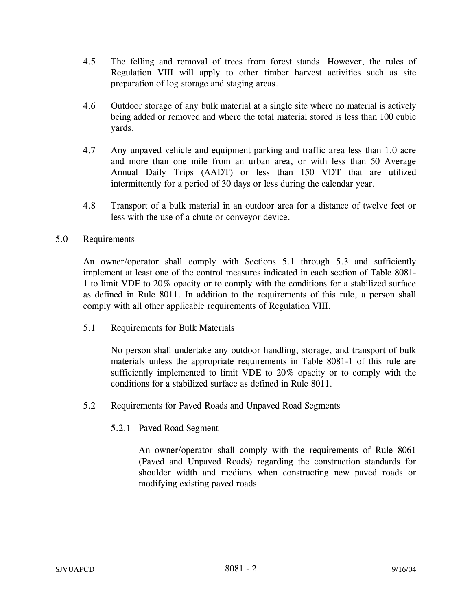- 4.5 The felling and removal of trees from forest stands. However, the rules of Regulation VIII will apply to other timber harvest activities such as site preparation of log storage and staging areas.
- 4.6 Outdoor storage of any bulk material at a single site where no material is actively being added or removed and where the total material stored is less than 100 cubic yards.
- 4.7 Any unpaved vehicle and equipment parking and traffic area less than 1.0 acre and more than one mile from an urban area, or with less than 50 Average Annual Daily Trips (AADT) or less than 150 VDT that are utilized intermittently for a period of 30 days or less during the calendar year.
- 4.8 Transport of a bulk material in an outdoor area for a distance of twelve feet or less with the use of a chute or conveyor device.

## 5.0 Requirements

An owner/operator shall comply with Sections 5.1 through 5.3 and sufficiently implement at least one of the control measures indicated in each section of Table 8081- 1 to limit VDE to 20% opacity or to comply with the conditions for a stabilized surface as defined in Rule 8011. In addition to the requirements of this rule, a person shall comply with all other applicable requirements of Regulation VIII.

5.1 Requirements for Bulk Materials

No person shall undertake any outdoor handling, storage, and transport of bulk materials unless the appropriate requirements in Table 8081-1 of this rule are sufficiently implemented to limit VDE to 20% opacity or to comply with the conditions for a stabilized surface as defined in Rule 8011.

- 5.2 Requirements for Paved Roads and Unpaved Road Segments
	- 5.2.1 Paved Road Segment

An owner/operator shall comply with the requirements of Rule 8061 (Paved and Unpaved Roads) regarding the construction standards for shoulder width and medians when constructing new paved roads or modifying existing paved roads.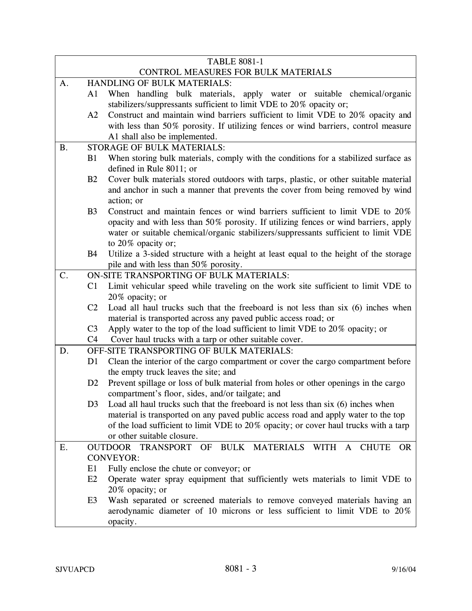| <b>TABLE 8081-1</b>                 |                                          |                                                                                       |
|-------------------------------------|------------------------------------------|---------------------------------------------------------------------------------------|
| CONTROL MEASURES FOR BULK MATERIALS |                                          |                                                                                       |
| A.                                  | HANDLING OF BULK MATERIALS:              |                                                                                       |
|                                     | A1                                       | When handling bulk materials, apply water or suitable chemical/organic                |
|                                     |                                          | stabilizers/suppressants sufficient to limit VDE to 20% opacity or;                   |
|                                     | A2                                       | Construct and maintain wind barriers sufficient to limit VDE to 20% opacity and       |
|                                     |                                          | with less than 50% porosity. If utilizing fences or wind barriers, control measure    |
|                                     |                                          | A1 shall also be implemented.                                                         |
| <b>B.</b>                           |                                          | <b>STORAGE OF BULK MATERIALS:</b>                                                     |
|                                     | B1                                       | When storing bulk materials, comply with the conditions for a stabilized surface as   |
|                                     |                                          | defined in Rule 8011; or                                                              |
|                                     | B2                                       | Cover bulk materials stored outdoors with tarps, plastic, or other suitable material  |
|                                     |                                          | and anchor in such a manner that prevents the cover from being removed by wind        |
|                                     |                                          | action; or                                                                            |
|                                     | B <sub>3</sub>                           | Construct and maintain fences or wind barriers sufficient to limit VDE to 20%         |
|                                     |                                          | opacity and with less than 50% porosity. If utilizing fences or wind barriers, apply  |
|                                     |                                          | water or suitable chemical/organic stabilizers/suppressants sufficient to limit VDE   |
|                                     |                                          | to 20% opacity or;                                                                    |
|                                     | <b>B4</b>                                | Utilize a 3-sided structure with a height at least equal to the height of the storage |
|                                     |                                          | pile and with less than 50% porosity.                                                 |
| C.                                  | ON-SITE TRANSPORTING OF BULK MATERIALS:  |                                                                                       |
|                                     | C1                                       | Limit vehicular speed while traveling on the work site sufficient to limit VDE to     |
|                                     |                                          | 20% opacity; or                                                                       |
|                                     | C <sub>2</sub>                           | Load all haul trucks such that the freeboard is not less than six (6) inches when     |
|                                     |                                          | material is transported across any paved public access road; or                       |
|                                     | C <sub>3</sub>                           | Apply water to the top of the load sufficient to limit VDE to 20% opacity; or         |
|                                     | C <sub>4</sub>                           | Cover haul trucks with a tarp or other suitable cover.                                |
| D.                                  | OFF-SITE TRANSPORTING OF BULK MATERIALS: |                                                                                       |
|                                     | D <sub>1</sub>                           | Clean the interior of the cargo compartment or cover the cargo compartment before     |
|                                     |                                          | the empty truck leaves the site; and                                                  |
|                                     | D <sub>2</sub>                           | Prevent spillage or loss of bulk material from holes or other openings in the cargo   |
|                                     |                                          | compartment's floor, sides, and/or tailgate; and                                      |
|                                     | D <sub>3</sub>                           | Load all haul trucks such that the freeboard is not less than six (6) inches when     |
|                                     |                                          | material is transported on any paved public access road and apply water to the top    |
|                                     |                                          | of the load sufficient to limit VDE to 20% opacity; or cover haul trucks with a tarp  |
|                                     |                                          | or other suitable closure.                                                            |
| Ε.                                  |                                          | OUTDOOR TRANSPORT OF BULK MATERIALS WITH A CHUTE<br><b>OR</b>                         |
|                                     |                                          | <b>CONVEYOR:</b>                                                                      |
|                                     | E1                                       | Fully enclose the chute or conveyor; or                                               |
|                                     | E2                                       | Operate water spray equipment that sufficiently wets materials to limit VDE to        |
|                                     |                                          | 20% opacity; or                                                                       |
|                                     | E <sub>3</sub>                           | Wash separated or screened materials to remove conveyed materials having an           |
|                                     |                                          | aerodynamic diameter of 10 microns or less sufficient to limit VDE to 20%             |
|                                     |                                          | opacity.                                                                              |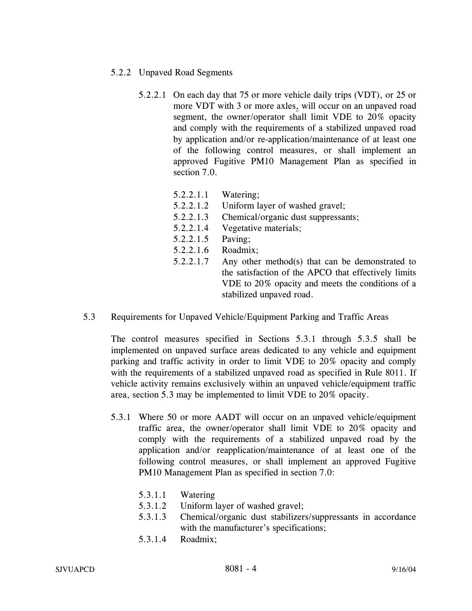- 5.2.2 Unpaved Road Segments
	- 5.2.2.1 On each day that 75 or more vehicle daily trips (VDT), or 25 or more VDT with 3 or more axles, will occur on an unpaved road segment, the owner/operator shall limit VDE to 20% opacity and comply with the requirements of a stabilized unpaved road by application and/or re-application/maintenance of at least one of the following control measures, or shall implement an approved Fugitive PM10 Management Plan as specified in section 7.0.
		- 5.2.2.1.1 Watering;
		- 5.2.2.1.2 Uniform layer of washed gravel;
		- 5.2.2.1.3 Chemical/organic dust suppressants;
		- 5.2.2.1.4 Vegetative materials;
		- 5.2.2.1.5 Paving;
		- 5.2.2.1.6 Roadmix;
		- 5.2.2.1.7 Any other method(s) that can be demonstrated to the satisfaction of the APCO that effectively limits VDE to 20% opacity and meets the conditions of a stabilized unpaved road.
- 5.3 Requirements for Unpaved Vehicle/Equipment Parking and Traffic Areas

The control measures specified in Sections 5.3.1 through 5.3.5 shall be implemented on unpaved surface areas dedicated to any vehicle and equipment parking and traffic activity in order to limit VDE to 20% opacity and comply with the requirements of a stabilized unpaved road as specified in Rule 8011. If vehicle activity remains exclusively within an unpaved vehicle/equipment traffic area, section 5.3 may be implemented to limit VDE to 20% opacity.

- 5.3.1 Where 50 or more AADT will occur on an unpaved vehicle/equipment traffic area, the owner/operator shall limit VDE to 20% opacity and comply with the requirements of a stabilized unpaved road by the application and/or reapplication/maintenance of at least one of the following control measures, or shall implement an approved Fugitive PM10 Management Plan as specified in section 7.0:
	- 5.3.1.1 Watering
	- 5.3.1.2 Uniform layer of washed gravel;
	- 5.3.1.3 Chemical/organic dust stabilizers/suppressants in accordance with the manufacturer's specifications;
	- 5.3.1.4 Roadmix;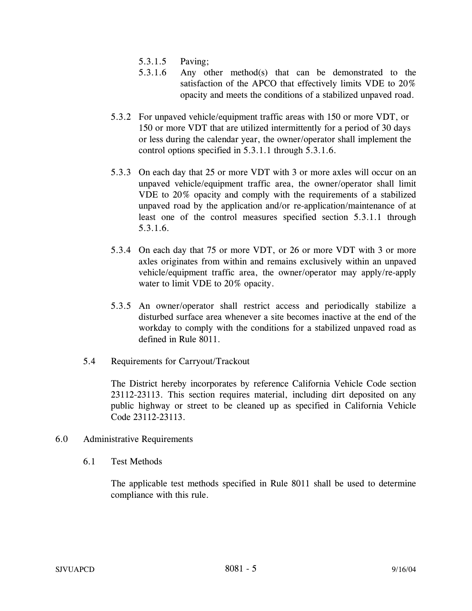- 5.3.1.5 Paving;
- 5.3.1.6 Any other method(s) that can be demonstrated to the satisfaction of the APCO that effectively limits VDE to 20% opacity and meets the conditions of a stabilized unpaved road.
- 5.3.2 For unpaved vehicle/equipment traffic areas with 150 or more VDT, or 150 or more VDT that are utilized intermittently for a period of 30 days or less during the calendar year, the owner/operator shall implement the control options specified in 5.3.1.1 through 5.3.1.6.
- 5.3.3 On each day that 25 or more VDT with 3 or more axles will occur on an unpaved vehicle/equipment traffic area, the owner/operator shall limit VDE to 20% opacity and comply with the requirements of a stabilized unpaved road by the application and/or re-application/maintenance of at least one of the control measures specified section 5.3.1.1 through 5.3.1.6.
- 5.3.4 On each day that 75 or more VDT, or 26 or more VDT with 3 or more axles originates from within and remains exclusively within an unpaved vehicle/equipment traffic area, the owner/operator may apply/re-apply water to limit VDE to 20% opacity.
- 5.3.5 An owner/operator shall restrict access and periodically stabilize a disturbed surface area whenever a site becomes inactive at the end of the workday to comply with the conditions for a stabilized unpaved road as defined in Rule 8011.
- 5.4 Requirements for Carryout/Trackout

The District hereby incorporates by reference California Vehicle Code section 23112-23113. This section requires material, including dirt deposited on any public highway or street to be cleaned up as specified in California Vehicle Code 23112-23113.

- 6.0 Administrative Requirements
	- 6.1 Test Methods

The applicable test methods specified in Rule 8011 shall be used to determine compliance with this rule.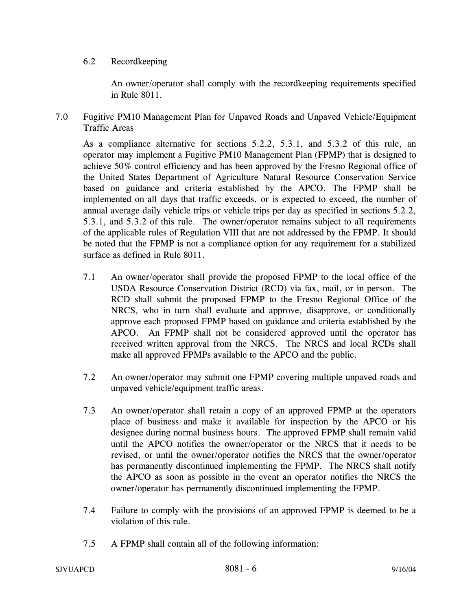## 6.2 Recordkeeping

An owner/operator shall comply with the recordkeeping requirements specified in Rule 8011.

7.0 Fugitive PM10 Management Plan for Unpaved Roads and Unpaved Vehicle/Equipment Traffic Areas

As a compliance alternative for sections 5.2.2, 5.3.1, and 5.3.2 of this rule, an operator may implement a Fugitive PM10 Management Plan (FPMP) that is designed to achieve 50% control efficiency and has been approved by the Fresno Regional office of the United States Department of Agriculture Natural Resource Conservation Service based on guidance and criteria established by the APCO. The FPMP shall be implemented on all days that traffic exceeds, or is expected to exceed, the number of annual average daily vehicle trips or vehicle trips per day as specified in sections 5.2.2, 5.3.1, and 5.3.2 of this rule. The owner/operator remains subject to all requirements of the applicable rules of Regulation VIII that are not addressed by the FPMP. It should be noted that the FPMP is not a compliance option for any requirement for a stabilized surface as defined in Rule 8011.

- 7.1 An owner/operator shall provide the proposed FPMP to the local office of the USDA Resource Conservation District (RCD) via fax, mail, or in person. The RCD shall submit the proposed FPMP to the Fresno Regional Office of the NRCS, who in turn shall evaluate and approve, disapprove, or conditionally approve each proposed FPMP based on guidance and criteria established by the APCO. An FPMP shall not be considered approved until the operator has received written approval from the NRCS. The NRCS and local RCDs shall make all approved FPMPs available to the APCO and the public.
- 7.2 An owner/operator may submit one FPMP covering multiple unpaved roads and unpaved vehicle/equipment traffic areas.
- 7.3 An owner/operator shall retain a copy of an approved FPMP at the operators place of business and make it available for inspection by the APCO or his designee during normal business hours. The approved FPMP shall remain valid until the APCO notifies the owner/operator or the NRCS that it needs to be revised, or until the owner/operator notifies the NRCS that the owner/operator has permanently discontinued implementing the FPMP. The NRCS shall notify the APCO as soon as possible in the event an operator notifies the NRCS the owner/operator has permanently discontinued implementing the FPMP.
- 7.4 Failure to comply with the provisions of an approved FPMP is deemed to be a violation of this rule.
- 7.5 A FPMP shall contain all of the following information: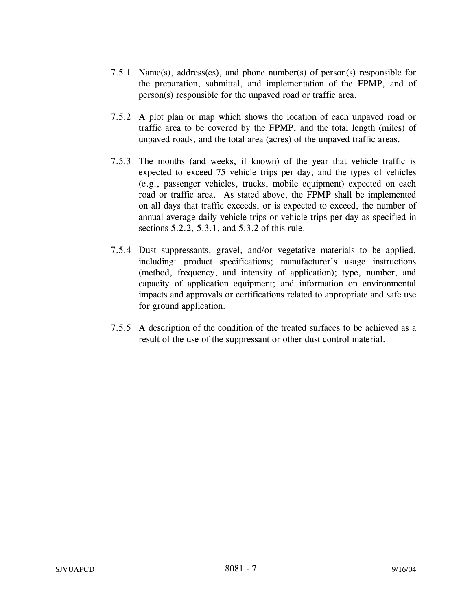- 7.5.1 Name(s), address(es), and phone number(s) of person(s) responsible for the preparation, submittal, and implementation of the FPMP, and of person(s) responsible for the unpaved road or traffic area.
- 7.5.2 A plot plan or map which shows the location of each unpaved road or traffic area to be covered by the FPMP, and the total length (miles) of unpaved roads, and the total area (acres) of the unpaved traffic areas.
- 7.5.3 The months (and weeks, if known) of the year that vehicle traffic is expected to exceed 75 vehicle trips per day, and the types of vehicles (e.g., passenger vehicles, trucks, mobile equipment) expected on each road or traffic area. As stated above, the FPMP shall be implemented on all days that traffic exceeds, or is expected to exceed, the number of annual average daily vehicle trips or vehicle trips per day as specified in sections 5.2.2, 5.3.1, and 5.3.2 of this rule.
- 7.5.4 Dust suppressants, gravel, and/or vegetative materials to be applied, including: product specifications; manufacturer's usage instructions (method, frequency, and intensity of application); type, number, and capacity of application equipment; and information on environmental impacts and approvals or certifications related to appropriate and safe use for ground application.
- 7.5.5 A description of the condition of the treated surfaces to be achieved as a result of the use of the suppressant or other dust control material.